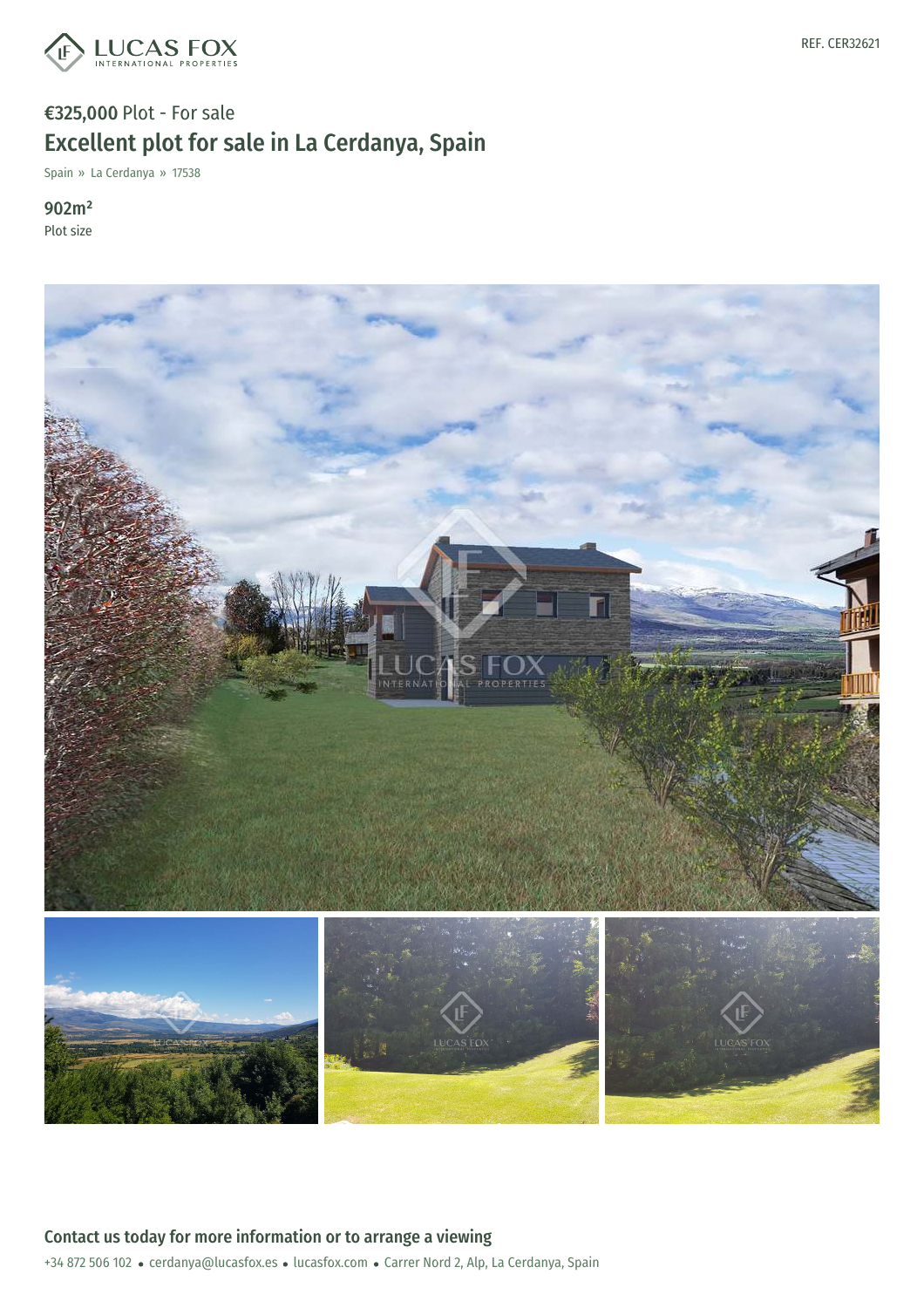

## €325,000 Plot - For sale Excellent plot for sale in La Cerdanya, Spain

Spain » La Cerdanya » 17538

902m² Plot size